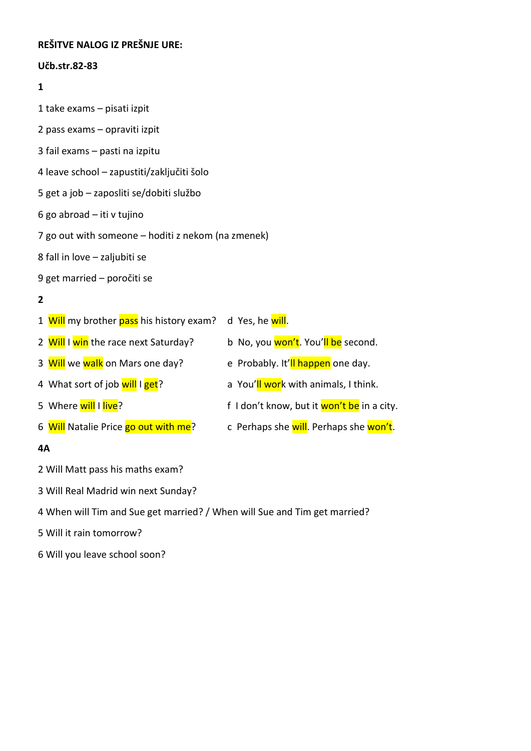## **REŠITVE NALOG IZ PREŠNJE URE:**

### **Učb.str.82-83**

### **1**

- 1 take exams pisati izpit
- 2 pass exams opraviti izpit
- 3 fail exams pasti na izpitu
- 4 leave school zapustiti/zaključiti šolo
- 5 get a job zaposliti se/dobiti službo
- 6 go abroad iti v tujino
- 7 go out with someone hoditi z nekom (na zmenek)
- 8 fall in love zaljubiti se
- 9 get married poročiti se

# **2**

| 1 Will my brother pass his history exam? | d Yes, he <mark>will</mark> .              |
|------------------------------------------|--------------------------------------------|
| 2 Will I win the race next Saturday?     | b No, you won't. You'll be second.         |
| 3 Will we walk on Mars one day?          | e Probably. It'll happen one day.          |
| 4 What sort of job will I get?           | a You'll work with animals, I think.       |
| 5 Where will I live?                     | f I don't know, but it won't be in a city. |
| 6 Will Natalie Price go out with me?     | c Perhaps she will. Perhaps she won't.     |

### **4A**

2 Will Matt pass his maths exam?

- 3 Will Real Madrid win next Sunday?
- 4 When will Tim and Sue get married? / When will Sue and Tim get married?

### 5 Will it rain tomorrow?

6 Will you leave school soon?